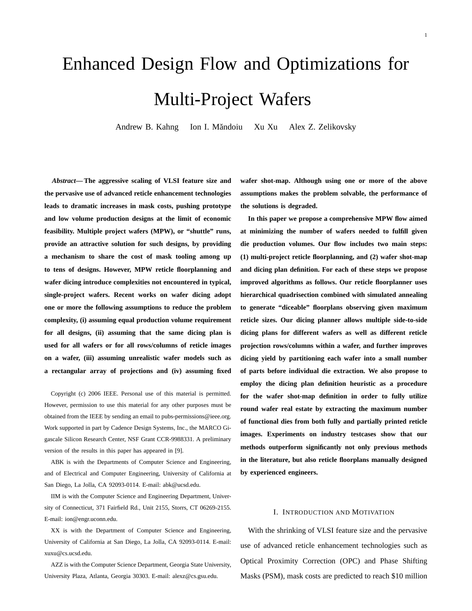# Enhanced Design Flow and Optimizations for Multi-Project Wafers

Andrew B. Kahng Ion I. Măndoiu Xu Xu Alex Z. Zelikovsky

*Abstract***— The aggressive scaling of VLSI feature size and the pervasive use of advanced reticle enhancement technologies leads to dramatic increases in mask costs, pushing prototype and low volume production designs at the limit of economic feasibility. Multiple project wafers (MPW), or "shuttle" runs, provide an attractive solution for such designs, by providing a mechanism to share the cost of mask tooling among up to tens of designs. However, MPW reticle floorplanning and wafer dicing introduce complexities not encountered in typical, single-project wafers. Recent works on wafer dicing adopt one or more the following assumptions to reduce the problem complexity, (i) assuming equal production volume requirement for all designs, (ii) assuming that the same dicing plan is used for all wafers or for all rows/columns of reticle images on a wafer, (iii) assuming unrealistic wafer models such as a rectangular array of projections and (iv) assuming fixed**

Copyright (c) 2006 IEEE. Personal use of this material is permitted. However, permission to use this material for any other purposes must be obtained from the IEEE by sending an email to pubs-permissions@ieee.org. Work supported in part by Cadence Design Systems, Inc., the MARCO Gigascale Silicon Research Center, NSF Grant CCR-9988331. A preliminary version of the results in this paper has appeared in [9].

ABK is with the Departments of Computer Science and Engineering, and of Electrical and Computer Engineering, University of California at San Diego, La Jolla, CA 92093-0114. E-mail: abk@ucsd.edu.

IIM is with the Computer Science and Engineering Department, University of Connecticut, 371 Fairfield Rd., Unit 2155, Storrs, CT 06269-2155. E-mail: ion@engr.uconn.edu.

XX is with the Department of Computer Science and Engineering, University of California at San Diego, La Jolla, CA 92093-0114. E-mail: xuxu@cs.ucsd.edu.

AZZ is with the Computer Science Department, Georgia State University, University Plaza, Atlanta, Georgia 30303. E-mail: alexz@cs.gsu.edu.

**wafer shot-map. Although using one or more of the above assumptions makes the problem solvable, the performance of the solutions is degraded.**

**In this paper we propose a comprehensive MPW flow aimed at minimizing the number of wafers needed to fulfill given die production volumes. Our flow includes two main steps: (1) multi-project reticle floorplanning, and (2) wafer shot-map and dicing plan definition. For each of these steps we propose improved algorithms as follows. Our reticle floorplanner uses hierarchical quadrisection combined with simulated annealing to generate "diceable" floorplans observing given maximum reticle sizes. Our dicing planner allows multiple side-to-side dicing plans for different wafers as well as different reticle projection rows/columns within a wafer, and further improves dicing yield by partitioning each wafer into a small number of parts before individual die extraction. We also propose to employ the dicing plan definition heuristic as a procedure for the wafer shot-map definition in order to fully utilize round wafer real estate by extracting the maximum number of functional dies from both fully and partially printed reticle images. Experiments on industry testcases show that our methods outperform significantly not only previous methods in the literature, but also reticle floorplans manually designed by experienced engineers.**

#### I. INTRODUCTION AND MOTIVATION

With the shrinking of VLSI feature size and the pervasive use of advanced reticle enhancement technologies such as Optical Proximity Correction (OPC) and Phase Shifting Masks (PSM), mask costs are predicted to reach \$10 million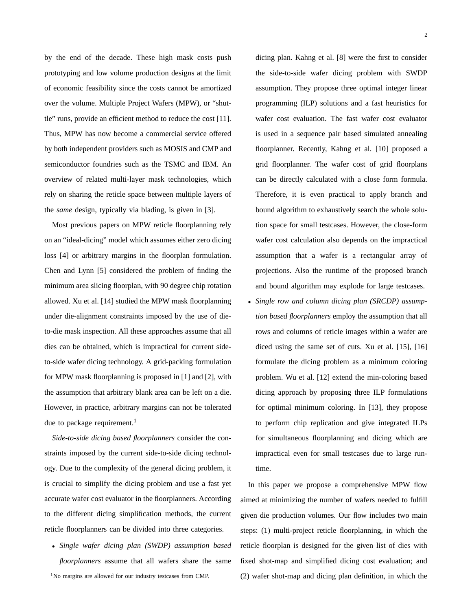by the end of the decade. These high mask costs push prototyping and low volume production designs at the limit of economic feasibility since the costs cannot be amortized over the volume. Multiple Project Wafers (MPW), or "shuttle" runs, provide an efficient method to reduce the cost [11]. Thus, MPW has now become a commercial service offered by both independent providers such as MOSIS and CMP and semiconductor foundries such as the TSMC and IBM. An overview of related multi-layer mask technologies, which rely on sharing the reticle space between multiple layers of the *same* design, typically via blading, is given in [3].

Most previous papers on MPW reticle floorplanning rely on an "ideal-dicing" model which assumes either zero dicing loss [4] or arbitrary margins in the floorplan formulation. Chen and Lynn [5] considered the problem of finding the minimum area slicing floorplan, with 90 degree chip rotation allowed. Xu et al. [14] studied the MPW mask floorplanning under die-alignment constraints imposed by the use of dieto-die mask inspection. All these approaches assume that all dies can be obtained, which is impractical for current sideto-side wafer dicing technology. A grid-packing formulation for MPW mask floorplanning is proposed in [1] and [2], with the assumption that arbitrary blank area can be left on a die. However, in practice, arbitrary margins can not be tolerated due to package requirement.<sup>1</sup>

*Side-to-side dicing based floorplanners* consider the constraints imposed by the current side-to-side dicing technology. Due to the complexity of the general dicing problem, it is crucial to simplify the dicing problem and use a fast yet accurate wafer cost evaluator in the floorplanners. According to the different dicing simplification methods, the current reticle floorplanners can be divided into three categories.

• *Single wafer dicing plan (SWDP) assumption based floorplanners* assume that all wafers share the same 1No margins are allowed for our industry testcases from CMP.

dicing plan. Kahng et al. [8] were the first to consider the side-to-side wafer dicing problem with SWDP assumption. They propose three optimal integer linear programming (ILP) solutions and a fast heuristics for wafer cost evaluation. The fast wafer cost evaluator is used in a sequence pair based simulated annealing floorplanner. Recently, Kahng et al. [10] proposed a grid floorplanner. The wafer cost of grid floorplans can be directly calculated with a close form formula. Therefore, it is even practical to apply branch and bound algorithm to exhaustively search the whole solution space for small testcases. However, the close-form wafer cost calculation also depends on the impractical assumption that a wafer is a rectangular array of projections. Also the runtime of the proposed branch and bound algorithm may explode for large testcases.

• *Single row and column dicing plan (SRCDP) assumption based floorplanners* employ the assumption that all rows and columns of reticle images within a wafer are diced using the same set of cuts. Xu et al. [15], [16] formulate the dicing problem as a minimum coloring problem. Wu et al. [12] extend the min-coloring based dicing approach by proposing three ILP formulations for optimal minimum coloring. In [13], they propose to perform chip replication and give integrated ILPs for simultaneous floorplanning and dicing which are impractical even for small testcases due to large runtime.

In this paper we propose a comprehensive MPW flow aimed at minimizing the number of wafers needed to fulfill given die production volumes. Our flow includes two main steps: (1) multi-project reticle floorplanning, in which the reticle floorplan is designed for the given list of dies with fixed shot-map and simplified dicing cost evaluation; and (2) wafer shot-map and dicing plan definition, in which the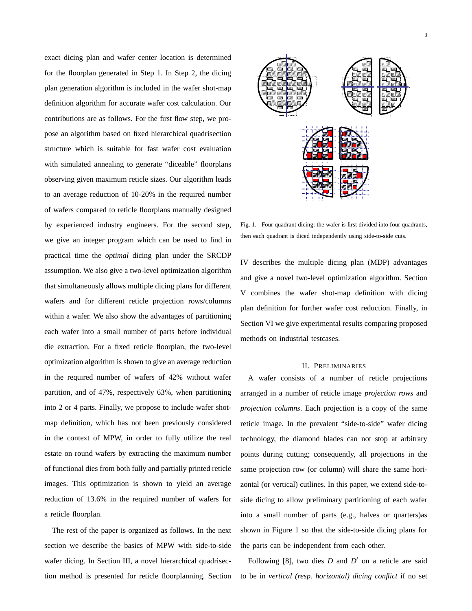exact dicing plan and wafer center location is determined for the floorplan generated in Step 1. In Step 2, the dicing plan generation algorithm is included in the wafer shot-map definition algorithm for accurate wafer cost calculation. Our contributions are as follows. For the first flow step, we propose an algorithm based on fixed hierarchical quadrisection structure which is suitable for fast wafer cost evaluation with simulated annealing to generate "diceable" floorplans observing given maximum reticle sizes. Our algorithm leads to an average reduction of 10-20% in the required number of wafers compared to reticle floorplans manually designed by experienced industry engineers. For the second step, we give an integer program which can be used to find in practical time the *optimal* dicing plan under the SRCDP assumption. We also give a two-level optimization algorithm that simultaneously allows multiple dicing plans for different wafers and for different reticle projection rows/columns within a wafer. We also show the advantages of partitioning each wafer into a small number of parts before individual die extraction. For a fixed reticle floorplan, the two-level optimization algorithm is shown to give an average reduction in the required number of wafers of 42% without wafer partition, and of 47%, respectively 63%, when partitioning into 2 or 4 parts. Finally, we propose to include wafer shotmap definition, which has not been previously considered in the context of MPW, in order to fully utilize the real estate on round wafers by extracting the maximum number of functional dies from both fully and partially printed reticle images. This optimization is shown to yield an average reduction of 13.6% in the required number of wafers for a reticle floorplan.

The rest of the paper is organized as follows. In the next section we describe the basics of MPW with side-to-side wafer dicing. In Section III, a novel hierarchical quadrisection method is presented for reticle floorplanning. Section



Fig. 1. Four quadrant dicing: the wafer is first divided into four quadrants, then each quadrant is diced independently using side-to-side cuts.

IV describes the multiple dicing plan (MDP) advantages and give a novel two-level optimization algorithm. Section V combines the wafer shot-map definition with dicing plan definition for further wafer cost reduction. Finally, in Section VI we give experimental results comparing proposed methods on industrial testcases.

## II. PRELIMINARIES

A wafer consists of a number of reticle projections arranged in a number of reticle image *projection rows* and *projection columns*. Each projection is a copy of the same reticle image. In the prevalent "side-to-side" wafer dicing technology, the diamond blades can not stop at arbitrary points during cutting; consequently, all projections in the same projection row (or column) will share the same horizontal (or vertical) cutlines. In this paper, we extend side-toside dicing to allow preliminary partitioning of each wafer into a small number of parts (e.g., halves or quarters)as shown in Figure 1 so that the side-to-side dicing plans for the parts can be independent from each other.

Following  $[8]$ , two dies  $D$  and  $D'$  on a reticle are said to be in *vertical (resp. horizontal) dicing conflict* if no set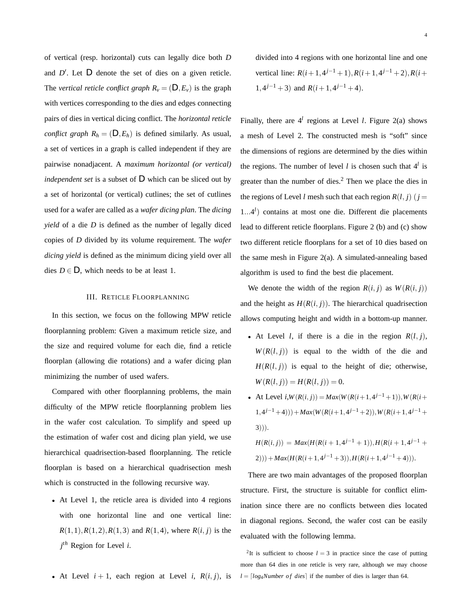of vertical (resp. horizontal) cuts can legally dice both *D* and  $D'$ . Let  $D$  denote the set of dies on a given reticle. The *vertical reticle conflict graph*  $R_v = (D, E_v)$  is the graph with vertices corresponding to the dies and edges connecting pairs of dies in vertical dicing conflict. The *horizontal reticle conflict graph*  $R_h = (D, E_h)$  is defined similarly. As usual, a set of vertices in a graph is called independent if they are pairwise nonadjacent. A *maximum horizontal (or vertical) independent set* is a subset of *D* which can be sliced out by a set of horizontal (or vertical) cutlines; the set of cutlines used for a wafer are called as a *wafer dicing plan*. The *dicing yield* of a die *D* is defined as the number of legally diced copies of *D* divided by its volume requirement. The *wafer dicing yield* is defined as the minimum dicing yield over all dies  $D \in D$ , which needs to be at least 1.

## III. RETICLE FLOORPLANNING

In this section, we focus on the following MPW reticle floorplanning problem: Given a maximum reticle size, and the size and required volume for each die, find a reticle floorplan (allowing die rotations) and a wafer dicing plan minimizing the number of used wafers.

Compared with other floorplanning problems, the main difficulty of the MPW reticle floorplanning problem lies in the wafer cost calculation. To simplify and speed up the estimation of wafer cost and dicing plan yield, we use hierarchical quadrisection-based floorplanning. The reticle floorplan is based on a hierarchical quadrisection mesh which is constructed in the following recursive way.

• At Level 1, the reticle area is divided into 4 regions with one horizontal line and one vertical line:  $R(1,1), R(1,2), R(1,3)$  and  $R(1,4)$ , where  $R(i, j)$  is the *j th* Region for Level *i*.

• At Level  $i + 1$ , each region at Level *i*,  $R(i, j)$ , is

divided into 4 regions with one horizontal line and one vertical line:  $R(i+1,4^{j-1}+1)$ *,*  $R(i+1,4^{j-1}+2)$ *,*  $R(i+1,4^{j-1}+2)$ 1, $4^{j-1}$  + 3) and  $R(i+1,4^{j-1}$  + 4).

Finally, there are  $4^l$  regions at Level *l*. Figure 2(a) shows a mesh of Level 2. The constructed mesh is "soft" since the dimensions of regions are determined by the dies within the regions. The number of level *l* is chosen such that  $4^l$  is greater than the number of dies. $<sup>2</sup>$  Then we place the dies in</sup> the regions of Level *l* mesh such that each region  $R(l, j)$  ( $j =$ 1*...*4*<sup>l</sup>* ) contains at most one die. Different die placements lead to different reticle floorplans. Figure 2 (b) and (c) show two different reticle floorplans for a set of 10 dies based on the same mesh in Figure 2(a). A simulated-annealing based algorithm is used to find the best die placement.

We denote the width of the region  $R(i, j)$  as  $W(R(i, j))$ and the height as  $H(R(i, j))$ . The hierarchical quadrisection allows computing height and width in a bottom-up manner.

- At Level *l*, if there is a die in the region  $R(l, j)$ ,  $W(R(l, j))$  is equal to the width of the die and  $H(R(l, j))$  is equal to the height of die; otherwise,  $W(R(l, j)) = H(R(l, j)) = 0.$
- At Level *i*,*W*(*R*(*i, j*)) = *Max*(*W*(*R*(*i*+1*,*4*j*−<sup>1</sup> +1))*,W*(*R*(*i*+  $(1,4^{j-1}+4))$  +  $Max(W(R(i+1,4^{j-1}+2)),$   $W(R(i+1,4^{j-1}+2))$ 3))).

$$
H(R(i, j)) = Max(H(R(i + 1, 4^{j-1} + 1)), H(R(i + 1, 4^{j-1} + 2))) + Max(H(R(i + 1, 4^{j-1} + 3)), H(R(i + 1, 4^{j-1} + 4))).
$$

There are two main advantages of the proposed floorplan structure. First, the structure is suitable for conflict elimination since there are no conflicts between dies located in diagonal regions. Second, the wafer cost can be easily evaluated with the following lemma.

<sup>2</sup>It is sufficient to choose  $l = 3$  in practice since the case of putting more than 64 dies in one reticle is very rare, although we may choose  $l = \lfloor log_4$ *Number of dies* if the number of dies is larger than 64.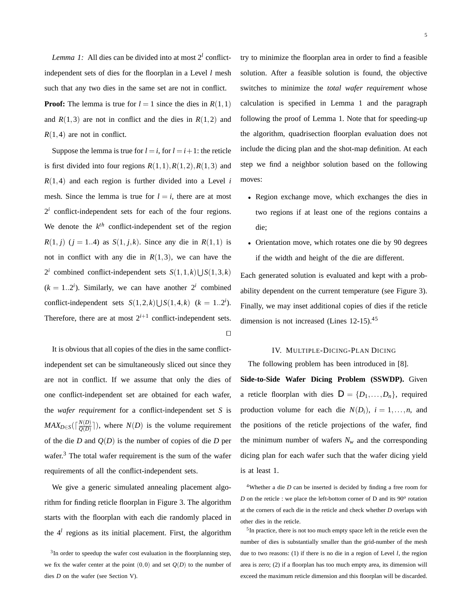*Lemma 1:* All dies can be divided into at most  $2^l$  conflictindependent sets of dies for the floorplan in a Level *l* mesh such that any two dies in the same set are not in conflict. **Proof:** The lemma is true for  $l = 1$  since the dies in  $R(1,1)$ and  $R(1,3)$  are not in conflict and the dies in  $R(1,2)$  and  $R(1,4)$  are not in conflict.

Suppose the lemma is true for  $l = i$ , for  $l = i + 1$ : the reticle is first divided into four regions  $R(1,1)$ ,  $R(1,2)$ ,  $R(1,3)$  and  $R(1,4)$  and each region is further divided into a Level *i* mesh. Since the lemma is true for  $l = i$ , there are at most  $2<sup>i</sup>$  conflict-independent sets for each of the four regions. We denote the  $k^{th}$  conflict-independent set of the region *R*(1*, j*) (*j* = 1*..*4) as *S*(1*, j, k*). Since any die in *R*(1*,* 1) is not in conflict with any die in  $R(1,3)$ , we can have the 2<sup>*i*</sup> combined conflict-independent sets  $S(1,1,k) \cup S(1,3,k)$  $(k = 1..2<sup>i</sup>)$ . Similarly, we can have another  $2<sup>i</sup>$  combined conflict-independent sets  $S(1,2,k) \cup S(1,4,k)$  ( $k = 1..2<sup>i</sup>$ ). Therefore, there are at most  $2^{i+1}$  conflict-independent sets.  $\Box$ 

It is obvious that all copies of the dies in the same conflictindependent set can be simultaneously sliced out since they are not in conflict. If we assume that only the dies of one conflict-independent set are obtained for each wafer, the *wafer requirement* for a conflict-independent set *S* is  $MAX_{D \in S}(\lceil \frac{N(D)}{Q(D)} \rceil)$ , where  $N(D)$  is the volume requirement of the die *D* and  $Q(D)$  is the number of copies of die *D* per wafer. $3$  The total wafer requirement is the sum of the wafer requirements of all the conflict-independent sets.

We give a generic simulated annealing placement algorithm for finding reticle floorplan in Figure 3. The algorithm starts with the floorplan with each die randomly placed in the 4*<sup>l</sup>* regions as its initial placement. First, the algorithm try to minimize the floorplan area in order to find a feasible solution. After a feasible solution is found, the objective switches to minimize the *total wafer requirement* whose calculation is specified in Lemma 1 and the paragraph following the proof of Lemma 1. Note that for speeding-up the algorithm, quadrisection floorplan evaluation does not include the dicing plan and the shot-map definition. At each step we find a neighbor solution based on the following moves:

- Region exchange move, which exchanges the dies in two regions if at least one of the regions contains a die;
- Orientation move, which rotates one die by 90 degrees if the width and height of the die are different.

Each generated solution is evaluated and kept with a probability dependent on the current temperature (see Figure 3). Finally, we may inset additional copies of dies if the reticle dimension is not increased (Lines 12-15).<sup>45</sup>

#### IV. MULTIPLE-DICING-PLAN DICING

The following problem has been introduced in [8].

**Side-to-Side Wafer Dicing Problem (SSWDP).** Given a reticle floorplan with dies  $D = \{D_1, \ldots, D_n\}$ , required production volume for each die  $N(D_i)$ ,  $i = 1, \ldots, n$ , and the positions of the reticle projections of the wafer, find the minimum number of wafers  $N_w$  and the corresponding dicing plan for each wafer such that the wafer dicing yield is at least 1.

4Whether a die *D* can be inserted is decided by finding a free room for *D* on the reticle : we place the left-bottom corner of D and its 90<sup>o</sup> rotation at the corners of each die in the reticle and check whether *D* overlaps with other dies in the reticle.

5In practice, there is not too much empty space left in the reticle even the number of dies is substantially smaller than the grid-number of the mesh due to two reasons: (1) if there is no die in a region of Level *l*, the region area is zero; (2) if a floorplan has too much empty area, its dimension will exceed the maximum reticle dimension and this floorplan will be discarded.

<sup>&</sup>lt;sup>3</sup>In order to speedup the wafer cost evaluation in the floorplanning step, we fix the wafer center at the point  $(0,0)$  and set  $Q(D)$  to the number of dies *D* on the wafer (see Section V).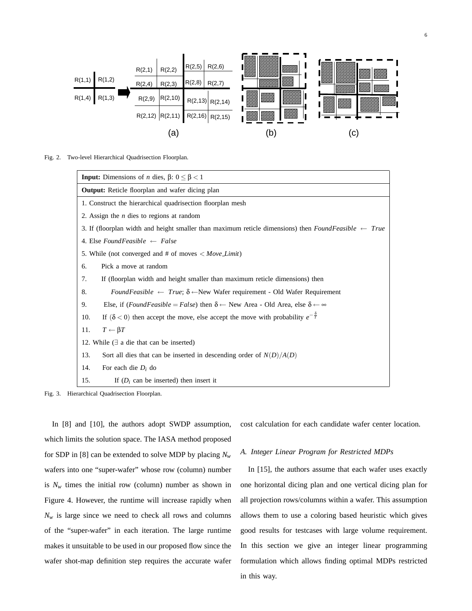

Fig. 2. Two-level Hierarchical Quadrisection Floorplan.

| <b>Input:</b> Dimensions of <i>n</i> dies, $\beta$ : $0 \le \beta < 1$                                                        |
|-------------------------------------------------------------------------------------------------------------------------------|
| <b>Output:</b> Reticle floorplan and wafer dicing plan                                                                        |
| 1. Construct the hierarchical quadrisection floorplan mesh                                                                    |
| 2. Assign the <i>n</i> dies to regions at random                                                                              |
| 3. If (floorplan width and height smaller than maximum reticle dimensions) then FoundFeasible $\leftarrow$ True               |
| 4. Else Found Feasible $\leftarrow$ False                                                                                     |
| 5. While (not converged and # of moves $\langle Move\_Limit \rangle$                                                          |
| Pick a move at random<br>6.                                                                                                   |
| If (floorplan width and height smaller than maximum reticle dimensions) then<br>7.                                            |
| FoundFeasible $\leftarrow$ True; $\delta \leftarrow$ New Wafer requirement - Old Wafer Requirement<br>8.                      |
| Else, if ( <i>FoundFeasible = False</i> ) then $\delta \leftarrow$ New Area - Old Area, else $\delta \leftarrow \infty$<br>9. |
| If $(\delta < 0)$ then accept the move, else accept the move with probability $e^{-\frac{\delta}{T}}$<br>10.                  |
| $T \leftarrow \beta T$<br>11.                                                                                                 |
| 12. While $(\exists$ a die that can be inserted)                                                                              |
| 13.<br>Sort all dies that can be inserted in descending order of $N(D)/A(D)$                                                  |
| For each die $D_i$ do<br>14.                                                                                                  |
| 15.<br>If $(D_i$ can be inserted) then insert it                                                                              |

Fig. 3. Hierarchical Quadrisection Floorplan.

In [8] and [10], the authors adopt SWDP assumption, which limits the solution space. The IASA method proposed for SDP in [8] can be extended to solve MDP by placing  $N_w$ wafers into one "super-wafer" whose row (column) number is  $N_w$  times the initial row (column) number as shown in Figure 4. However, the runtime will increase rapidly when  $N_w$  is large since we need to check all rows and columns of the "super-wafer" in each iteration. The large runtime makes it unsuitable to be used in our proposed flow since the wafer shot-map definition step requires the accurate wafer cost calculation for each candidate wafer center location.

## *A. Integer Linear Program for Restricted MDPs*

In [15], the authors assume that each wafer uses exactly one horizontal dicing plan and one vertical dicing plan for all projection rows/columns within a wafer. This assumption allows them to use a coloring based heuristic which gives good results for testcases with large volume requirement. In this section we give an integer linear programming formulation which allows finding optimal MDPs restricted in this way.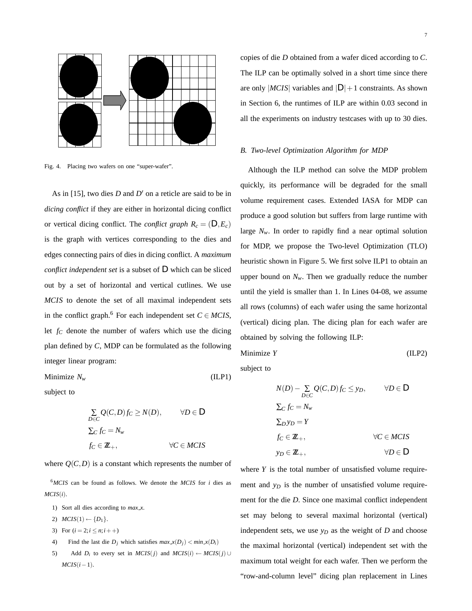

Fig. 4. Placing two wafers on one "super-wafer".

As in [15], two dies  $D$  and  $D'$  on a reticle are said to be in *dicing conflict* if they are either in horizontal dicing conflict or vertical dicing conflict. The *conflict graph*  $R_c = (D, E_c)$ is the graph with vertices corresponding to the dies and edges connecting pairs of dies in dicing conflict. A *maximum conflict independent set* is a subset of *D* which can be sliced out by a set of horizontal and vertical cutlines. We use *MCIS* to denote the set of all maximal independent sets in the conflict graph.<sup>6</sup> For each independent set  $C \in MCIS$ , let  $f_C$  denote the number of wafers which use the dicing plan defined by *C*, MDP can be formulated as the following integer linear program:

Minimize *Nw* (ILP1)

subject to

$$
\sum_{D \in C} Q(C, D) f_C \ge N(D), \qquad \forall D \in D
$$
  

$$
\sum_{C} f_C = N_w
$$
  

$$
f_C \in \mathbb{Z}_+, \qquad \forall C \in MCIS
$$

where  $Q(C,D)$  is a constant which represents the number of

<sup>6</sup>*MCIS* can be found as follows. We denote the *MCIS* for *i* dies as  $MCIS(i)$ .

- 1) Sort all dies according to  $max_x x$ .
- 2)  $MCIS(1) \leftarrow \{D_1\}.$
- 3) For  $(i = 2; i \leq n; i++)$
- 4) Find the last die  $D_i$  which satisfies  $max_x(D_i) < min_x(D_i)$
- 5) Add  $D_i$  to every set in  $MCIS(j)$  and  $MCIS(i) \leftarrow MCIS(j) \cup$  $MCIS(i-1)$ .

copies of die *D* obtained from a wafer diced according to *C*. The ILP can be optimally solved in a short time since there are only  $|MCIS|$  variables and  $|D|+1$  constraints. As shown in Section 6, the runtimes of ILP are within 0.03 second in all the experiments on industry testcases with up to 30 dies.

#### *B. Two-level Optimization Algorithm for MDP*

Although the ILP method can solve the MDP problem quickly, its performance will be degraded for the small volume requirement cases. Extended IASA for MDP can produce a good solution but suffers from large runtime with large  $N_w$ . In order to rapidly find a near optimal solution for MDP, we propose the Two-level Optimization (TLO) heuristic shown in Figure 5. We first solve ILP1 to obtain an upper bound on  $N_w$ . Then we gradually reduce the number until the yield is smaller than 1. In Lines 04-08, we assume all rows (columns) of each wafer using the same horizontal (vertical) dicing plan. The dicing plan for each wafer are obtained by solving the following ILP:

$$
Minimize Y \t\t (ILP2)
$$

subject to

$$
N(D) - \sum_{D \in C} Q(C, D) f_C \leq y_D, \qquad \forall D \in D
$$
  

$$
\sum_C f_C = N_w
$$
  

$$
\sum_D y_D = Y
$$
  

$$
f_C \in \mathbb{Z}_+, \qquad \forall C \in MCIS
$$
  

$$
y_D \in \mathbb{Z}_+, \qquad \forall D \in D
$$

where *Y* is the total number of unsatisfied volume requirement and  $y_D$  is the number of unsatisfied volume requirement for the die *D*. Since one maximal conflict independent set may belong to several maximal horizontal (vertical) independent sets, we use  $y_D$  as the weight of  $D$  and choose the maximal horizontal (vertical) independent set with the maximum total weight for each wafer. Then we perform the "row-and-column level" dicing plan replacement in Lines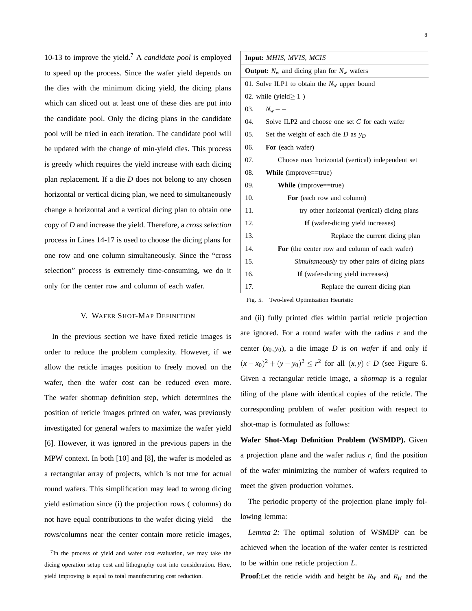10-13 to improve the yield.7 A *candidate pool* is employed to speed up the process. Since the wafer yield depends on the dies with the minimum dicing yield, the dicing plans which can sliced out at least one of these dies are put into the candidate pool. Only the dicing plans in the candidate pool will be tried in each iteration. The candidate pool will be updated with the change of min-yield dies. This process is greedy which requires the yield increase with each dicing plan replacement. If a die *D* does not belong to any chosen horizontal or vertical dicing plan, we need to simultaneously change a horizontal and a vertical dicing plan to obtain one copy of *D* and increase the yield. Therefore, a *cross selection* process in Lines 14-17 is used to choose the dicing plans for one row and one column simultaneously. Since the "cross selection" process is extremely time-consuming, we do it only for the center row and column of each wafer.

#### V. WAFER SHOT-MAP DEFINITION

In the previous section we have fixed reticle images is order to reduce the problem complexity. However, if we allow the reticle images position to freely moved on the wafer, then the wafer cost can be reduced even more. The wafer shotmap definition step, which determines the position of reticle images printed on wafer, was previously investigated for general wafers to maximize the wafer yield [6]. However, it was ignored in the previous papers in the MPW context. In both [10] and [8], the wafer is modeled as a rectangular array of projects, which is not true for actual round wafers. This simplification may lead to wrong dicing yield estimation since (i) the projection rows ( columns) do not have equal contributions to the wafer dicing yield – the rows/columns near the center contain more reticle images,

 $7$ In the process of yield and wafer cost evaluation, we may take the dicing operation setup cost and lithography cost into consideration. Here, yield improving is equal to total manufacturing cost reduction.

| Input: MHIS, MVIS, MCIS                                      |  |  |  |  |  |  |  |
|--------------------------------------------------------------|--|--|--|--|--|--|--|
| <b>Output:</b> $N_w$ and dicing plan for $N_w$ wafers        |  |  |  |  |  |  |  |
| 01. Solve ILP1 to obtain the $N_w$ upper bound               |  |  |  |  |  |  |  |
| 02. while (yield $> 1$ )                                     |  |  |  |  |  |  |  |
| $N_w$ - $-$<br>03.                                           |  |  |  |  |  |  |  |
| 04.<br>Solve ILP2 and choose one set $C$ for each wafer      |  |  |  |  |  |  |  |
| 05.<br>Set the weight of each die D as $y_D$                 |  |  |  |  |  |  |  |
| 06.<br>For (each wafer)                                      |  |  |  |  |  |  |  |
| 07.<br>Choose max horizontal (vertical) independent set      |  |  |  |  |  |  |  |
| 08.<br><b>While</b> (improve==true)                          |  |  |  |  |  |  |  |
| 09.<br><b>While</b> (improve==true)                          |  |  |  |  |  |  |  |
| 10.<br>For (each row and column)                             |  |  |  |  |  |  |  |
| 11.<br>try other horizontal (vertical) dicing plans          |  |  |  |  |  |  |  |
| 12.<br>If (wafer-dicing yield increases)                     |  |  |  |  |  |  |  |
| 13.<br>Replace the current dicing plan                       |  |  |  |  |  |  |  |
| 14.<br>For (the center row and column of each wafer)         |  |  |  |  |  |  |  |
| 15.<br><i>Simultaneously</i> try other pairs of dicing plans |  |  |  |  |  |  |  |
| 16.<br>If (wafer-dicing yield increases)                     |  |  |  |  |  |  |  |
| 17.<br>Replace the current dicing plan                       |  |  |  |  |  |  |  |

Fig. 5. Two-level Optimization Heuristic

and (ii) fully printed dies within partial reticle projection are ignored. For a round wafer with the radius *r* and the center  $(x_0, y_0)$ , a die image *D* is *on wafer* if and only if  $(x - x_0)^2 + (y - y_0)^2 \le r^2$  for all  $(x, y) \in D$  (see Figure 6. Given a rectangular reticle image, a *shotmap* is a regular tiling of the plane with identical copies of the reticle. The corresponding problem of wafer position with respect to shot-map is formulated as follows:

**Wafer Shot-Map Definition Problem (WSMDP).** Given a projection plane and the wafer radius *r*, find the position of the wafer minimizing the number of wafers required to meet the given production volumes.

The periodic property of the projection plane imply following lemma:

*Lemma 2:* The optimal solution of WSMDP can be achieved when the location of the wafer center is restricted to be within one reticle projection *L*.

**Proof:**Let the reticle width and height be  $R_W$  and  $R_H$  and the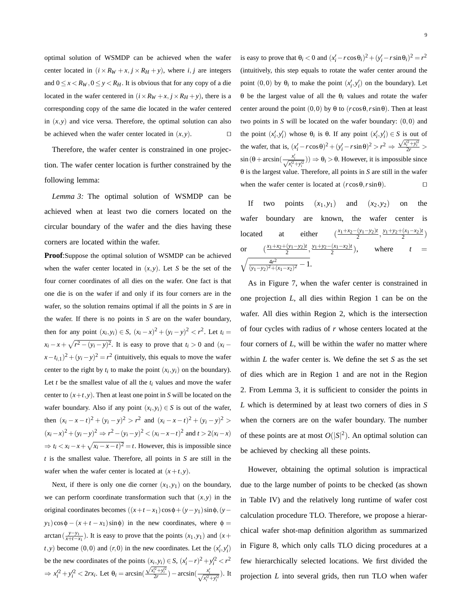optimal solution of WSMDP can be achieved when the wafer center located in  $(i \times R_W + x, j \times R_H + y)$ , where *i*, *j* are integers and  $0 \le x < R_W, 0 \le y < R_H$ . It is obvious that for any copy of a die located in the wafer centered in  $(i \times R_W + x, j \times R_H + y)$ , there is a corresponding copy of the same die located in the wafer centered in  $(x, y)$  and vice versa. Therefore, the optimal solution can also be achieved when the wafer center located in  $(x, y)$ .

Therefore, the wafer center is constrained in one projection. The wafer center location is further constrained by the following lemma:

*Lemma 3:* The optimal solution of WSMDP can be achieved when at least two die corners located on the circular boundary of the wafer and the dies having these corners are located within the wafer.

**Proof**:Suppose the optimal solution of WSMDP can be achieved when the wafer center located in  $(x, y)$ . Let *S* be the set of the four corner coordinates of all dies on the wafer. One fact is that one die is on the wafer if and only if its four corners are in the wafer, so the solution remains optimal if all the points in *S* are in the wafer. If there is no points in *S* are on the wafer boundary, then for any point  $(x_i, y_i) \in S$ ,  $(x_i - x)^2 + (y_i - y)^2 < r^2$ . Let  $t_i =$  $f(x_i - x + \sqrt{r^2 - (y_i - y)^2}$ . It is easy to prove that  $t_i > 0$  and  $(x_i - y)$  $(x-t_{i,1})^2 + (y_i - y)^2 = r^2$  (intuitively, this equals to move the wafer center to the right by  $t_i$  to make the point  $(x_i, y_i)$  on the boundary). Let  $t$  be the smallest value of all the  $t_i$  values and move the wafer center to  $(x+t, y)$ . Then at least one point in *S* will be located on the wafer boundary. Also if any point  $(x_i, y_i) \in S$  is out of the wafer, then  $(x_i - x - t)^2 + (y_i - y)^2 > r^2$  and  $(x_i - x - t)^2 + (y_i - y)^2 >$  $(x_i-x)^2+(y_i-y)^2$  ⇒  $r^2-(y_i-y)^2 < (x_i-x-t)^2$  and  $t > 2(x_i-x)$  $\Rightarrow t_i \leq x_i - x + \sqrt{x_i - x - t^2} = t$ . However, this is impossible since *t* is the smallest value. Therefore, all points in *S* are still in the wafer when the wafer center is located at  $(x+t, y)$ .

Next, if there is only one die corner  $(x_1, y_1)$  on the boundary, we can perform coordinate transformation such that  $(x, y)$  in the original coordinates becomes  $((x+t-x_1)\cos φ + (y−y_1)\sin φ, (y−y_1))$  $y_1$ )cos $\phi$  − ( $x + t - x_1$ )sin $\phi$ ) in the new coordinates, where  $\phi$  = arctan( $\frac{y-y_1}{x+t-x_1}$ ). It is easy to prove that the points  $(x_1, y_1)$  and  $(x +$  $f$ , *y*) become (0,0) and (*r*, 0) in the new coordinates. Let the  $(x'_i, y'_i)$ be the new coordinates of the points  $(x_i, y_i) \in S$ ,  $(x'_i - r)^2 + y'^2_i < r^2$  $\Rightarrow x_i'^2 + y_i'^2 < 2rx_i$ . Let  $\theta_i = \arcsin(\frac{\sqrt{x_i'^2 + y_i'^2}}{2r}) - \arcsin(\frac{x_i'}{\sqrt{x_i'^2 + y_i'^2}})$ . It is easy to prove that  $\theta_i < 0$  and  $(x_i' - r\cos\theta_i)^2 + (y_i' - r\sin\theta_i)^2 = r^2$ (intuitively, this step equals to rotate the wafer center around the point  $(0,0)$  by  $\theta_i$  to make the point  $(x'_i, y'_i)$  on the boundary). Let θ be the largest value of all the θ*i* values and rotate the wafer center around the point  $(0,0)$  by  $\theta$  to  $(r\cos\theta, r\sin\theta)$ . Then at least two points in *S* will be located on the wafer boundary: (0*,*0) and the point  $(x'_i, y'_i)$  whose  $\theta_i$  is  $\theta$ . If any point  $(x'_i, y'_i) \in S$  is out of the wafer, that is,  $(x_i^j - r\cos\theta)^2 + (y_i^j - r\sin\theta)^2 > r^2 \Rightarrow \frac{\sqrt{x_i^2 + y_i^2}}{2r} >$  $\sin(\theta + \arcsin(\frac{x_i'}{\sqrt{x_i^2 + y_i'^2}})) \Rightarrow \theta_i > \theta$ . However, it is impossible since θ is the largest value. Therefore, all points in *S* are still in the wafer when the wafer center is located at  $(r \cos \theta, r \sin \theta)$ .

If two points  $(x_1, y_1)$  and  $(x_2, y_2)$  on the wafer boundary are known, the wafer center is located at either  $(\frac{x_1+x_2-(y_1-y_2)t}{2})$  $\frac{(y_1-y_2)t}{2}, \frac{y_1+y_2+(x_1-x_2)t}{2}$ or  $\left(\frac{x_1+x_2+(y_1-y_2)t}{2}, \frac{y_1+y_2-(x_1-x_2)t}{2}\right)$ , where  $t =$  $\sqrt{\frac{4r^2}{(y_1-y_2)^2+(x_1-x_2)^2}-1}.$ 

As in Figure 7, when the wafer center is constrained in one projection *L*, all dies within Region 1 can be on the wafer. All dies within Region 2, which is the intersection of four cycles with radius of *r* whose centers located at the four corners of *L*, will be within the wafer no matter where within *L* the wafer center is. We define the set *S* as the set of dies which are in Region 1 and are not in the Region 2. From Lemma 3, it is sufficient to consider the points in *L* which is determined by at least two corners of dies in *S* when the corners are on the wafer boundary. The number of these points are at most  $O(|S|^2)$ . An optimal solution can be achieved by checking all these points.

However, obtaining the optimal solution is impractical due to the large number of points to be checked (as shown in Table IV) and the relatively long runtime of wafer cost calculation procedure TLO. Therefore, we propose a hierarchical wafer shot-map definition algorithm as summarized in Figure 8, which only calls TLO dicing procedures at a few hierarchically selected locations. We first divided the projection *L* into several grids, then run TLO when wafer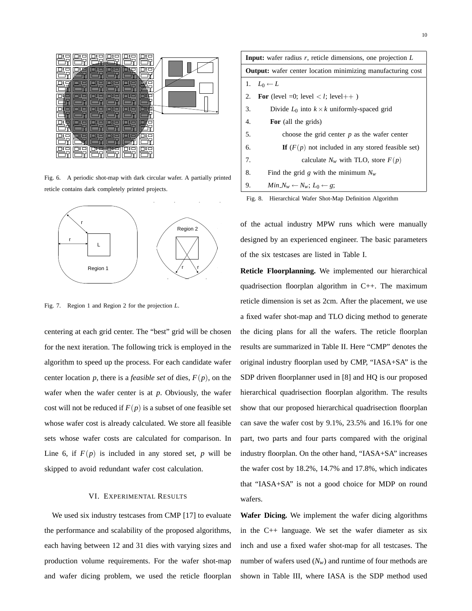

Fig. 6. A periodic shot-map with dark circular wafer. A partially printed reticle contains dark completely printed projects.



Fig. 7. Region 1 and Region 2 for the projection *L*.

centering at each grid center. The "best" grid will be chosen for the next iteration. The following trick is employed in the algorithm to speed up the process. For each candidate wafer center location *p*, there is a *feasible set* of dies,  $F(p)$ , on the wafer when the wafer center is at *p*. Obviously, the wafer cost will not be reduced if  $F(p)$  is a subset of one feasible set whose wafer cost is already calculated. We store all feasible sets whose wafer costs are calculated for comparison. In Line 6, if  $F(p)$  is included in any stored set,  $p$  will be skipped to avoid redundant wafer cost calculation.

## VI. EXPERIMENTAL RESULTS

We used six industry testcases from CMP [17] to evaluate the performance and scalability of the proposed algorithms, each having between 12 and 31 dies with varying sizes and production volume requirements. For the wafer shot-map and wafer dicing problem, we used the reticle floorplan

**Input:** wafer radius *r*, reticle dimensions, one projection *L* **Output:** wafer center location minimizing manufacturing cost 1.  $L_0 \leftarrow L$ 2. **For** (level =0; level  $\langle l;$  level ++ ) 3. Divide  $L_0$  into  $k \times k$  uniformly-spaced grid 4. **For** (all the grids) 5. choose the grid center *p* as the wafer center 6. **If**  $(F(p)$  not included in any stored feasible set) 7. calculate  $N_w$  with TLO, store  $F(p)$ 8. Find the grid *g* with the minimum  $N_w$ 9. *Min*  $N_w \leftarrow N_w$ ;  $L_0 \leftarrow g$ ;



of the actual industry MPW runs which were manually designed by an experienced engineer. The basic parameters of the six testcases are listed in Table I.

**Reticle Floorplanning.** We implemented our hierarchical quadrisection floorplan algorithm in C++. The maximum reticle dimension is set as 2cm. After the placement, we use a fixed wafer shot-map and TLO dicing method to generate the dicing plans for all the wafers. The reticle floorplan results are summarized in Table II. Here "CMP" denotes the original industry floorplan used by CMP, "IASA+SA" is the SDP driven floorplanner used in [8] and HQ is our proposed hierarchical quadrisection floorplan algorithm. The results show that our proposed hierarchical quadrisection floorplan can save the wafer cost by 9.1%, 23.5% and 16.1% for one part, two parts and four parts compared with the original industry floorplan. On the other hand, "IASA+SA" increases the wafer cost by 18.2%, 14.7% and 17.8%, which indicates that "IASA+SA" is not a good choice for MDP on round wafers.

**Wafer Dicing.** We implement the wafer dicing algorithms in the C++ language. We set the wafer diameter as six inch and use a fixed wafer shot-map for all testcases. The number of wafers used  $(N_w)$  and runtime of four methods are shown in Table III, where IASA is the SDP method used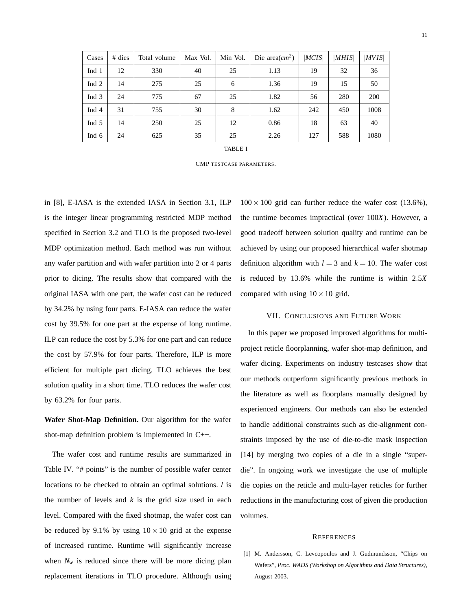| Cases   | $#$ dies | Total volume | Max Vol. | Min Vol. | Die area $(cm^2)$ | MCIS | MHIS | MVIS |
|---------|----------|--------------|----------|----------|-------------------|------|------|------|
| Ind 1   | 12       | 330          | 40       | 25       | 1.13              | 19   | 32   | 36   |
| Ind 2   | 14       | 275          | 25       | 6        | 1.36              | 19   | 15   | 50   |
| Ind 3   | 24       | 775          | 67       | 25       | 1.82              | 56   | 280  | 200  |
| Ind 4   | 31       | 755          | 30       | 8        | 1.62              | 242  | 450  | 1008 |
| Ind $5$ | 14       | 250          | 25       | 12       | 0.86              | 18   | 63   | 40   |
| Ind $6$ | 24       | 625          | 35       | 25       | 2.26              | 127  | 588  | 1080 |

CMP TESTCASE PARAMETERS.

in [8], E-IASA is the extended IASA in Section 3.1, ILP is the integer linear programming restricted MDP method specified in Section 3.2 and TLO is the proposed two-level MDP optimization method. Each method was run without any wafer partition and with wafer partition into 2 or 4 parts prior to dicing. The results show that compared with the original IASA with one part, the wafer cost can be reduced by 34.2% by using four parts. E-IASA can reduce the wafer cost by 39.5% for one part at the expense of long runtime. ILP can reduce the cost by 5.3% for one part and can reduce the cost by 57.9% for four parts. Therefore, ILP is more efficient for multiple part dicing. TLO achieves the best solution quality in a short time. TLO reduces the wafer cost by 63.2% for four parts.

**Wafer Shot-Map Definition.** Our algorithm for the wafer shot-map definition problem is implemented in C++.

The wafer cost and runtime results are summarized in Table IV. "# points" is the number of possible wafer center locations to be checked to obtain an optimal solutions. *l* is the number of levels and  $k$  is the grid size used in each level. Compared with the fixed shotmap, the wafer cost can be reduced by 9.1% by using  $10 \times 10$  grid at the expense of increased runtime. Runtime will significantly increase when  $N_w$  is reduced since there will be more dicing plan replacement iterations in TLO procedure. Although using

 $100 \times 100$  grid can further reduce the wafer cost (13.6%), the runtime becomes impractical (over 100*X*). However, a good tradeoff between solution quality and runtime can be achieved by using our proposed hierarchical wafer shotmap definition algorithm with  $l = 3$  and  $k = 10$ . The wafer cost is reduced by 13.6% while the runtime is within 2*.*5*X* compared with using  $10 \times 10$  grid.

## VII. CONCLUSIONS AND FUTURE WORK

In this paper we proposed improved algorithms for multiproject reticle floorplanning, wafer shot-map definition, and wafer dicing. Experiments on industry testcases show that our methods outperform significantly previous methods in the literature as well as floorplans manually designed by experienced engineers. Our methods can also be extended to handle additional constraints such as die-alignment constraints imposed by the use of die-to-die mask inspection [14] by merging two copies of a die in a single "superdie". In ongoing work we investigate the use of multiple die copies on the reticle and multi-layer reticles for further reductions in the manufacturing cost of given die production volumes.

#### **REFERENCES**

[1] M. Andersson, C. Levcopoulos and J. Gudmundsson, "Chips on Wafers", *Proc. WADS (Workshop on Algorithms and Data Structures)*, August 2003.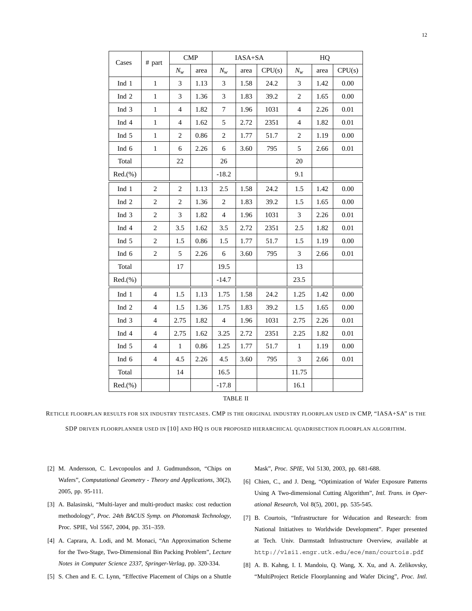| Cases            | # part         | <b>CMP</b>     |      |                | IASA+SA |        | HQ             |      |        |  |
|------------------|----------------|----------------|------|----------------|---------|--------|----------------|------|--------|--|
|                  |                | $N_w$          | area | $N_w$          | area    | CPU(s) | $N_w$          | area | CPU(s) |  |
| Ind 1            | $\mathbf{1}$   | 3              | 1.13 | 3              | 1.58    | 24.2   | 3              | 1.42 | 0.00   |  |
| Ind <sub>2</sub> | $\,1$          | 3              | 1.36 | 3              | 1.83    | 39.2   | $\overline{2}$ | 1.65 | 0.00   |  |
| Ind 3            | $\mathbf{1}$   | $\overline{4}$ | 1.82 | 7              | 1.96    | 1031   | $\overline{4}$ | 2.26 | 0.01   |  |
| Ind 4            | $\mathbf{1}$   | $\overline{4}$ | 1.62 | $\sqrt{5}$     | 2.72    | 2351   | $\overline{4}$ | 1.82 | 0.01   |  |
| Ind 5            | $\,1$          | $\mathbf{2}$   | 0.86 | $\overline{2}$ | 1.77    | 51.7   | $\overline{2}$ | 1.19 | 0.00   |  |
| Ind 6            | $\mathbf{1}$   | 6              | 2.26 | 6              | 3.60    | 795    | 5              | 2.66 | 0.01   |  |
| Total            |                | 22             |      | 26             |         |        | 20             |      |        |  |
| Red.(%)          |                |                |      | $-18.2$        |         |        | 9.1            |      |        |  |
| Ind $1$          | $\mathbf{2}$   | $\mathbf{2}$   | 1.13 | 2.5            | 1.58    | 24.2   | 1.5            | 1.42 | 0.00   |  |
| Ind <sub>2</sub> | $\mathfrak{2}$ | $\mathbf{2}$   | 1.36 | $\mathfrak{2}$ | 1.83    | 39.2   | 1.5            | 1.65 | 0.00   |  |
| Ind 3            | $\mathfrak{2}$ | 3              | 1.82 | $\overline{4}$ | 1.96    | 1031   | 3              | 2.26 | 0.01   |  |
| Ind 4            | $\overline{2}$ | 3.5            | 1.62 | 3.5            | 2.72    | 2351   | 2.5            | 1.82 | 0.01   |  |
| Ind 5            | $\mathbf{2}$   | 1.5            | 0.86 | 1.5            | 1.77    | 51.7   | 1.5            | 1.19 | 0.00   |  |
| Ind 6            | $\mathbf{2}$   | 5              | 2.26 | 6              | 3.60    | 795    | 3              | 2.66 | 0.01   |  |
| Total            |                | 17             |      | 19.5           |         |        | 13             |      |        |  |
| Red.(%)          |                |                |      | $-14.7$        |         |        | 23.5           |      |        |  |
| Ind 1            | $\overline{4}$ | 1.5            | 1.13 | 1.75           | 1.58    | 24.2   | 1.25           | 1.42 | 0.00   |  |
| Ind <sub>2</sub> | $\overline{4}$ | 1.5            | 1.36 | 1.75           | 1.83    | 39.2   | 1.5            | 1.65 | 0.00   |  |
| Ind 3            | $\overline{4}$ | 2.75           | 1.82 | 4              | 1.96    | 1031   | 2.75           | 2.26 | 0.01   |  |
| Ind 4            | $\overline{4}$ | 2.75           | 1.62 | 3.25           | 2.72    | 2351   | 2.25           | 1.82 | 0.01   |  |
| Ind 5            | $\overline{4}$ | $\mathbf{1}$   | 0.86 | 1.25           | 1.77    | 51.7   | $\mathbf{1}$   | 1.19 | 0.00   |  |
| Ind 6            | $\overline{4}$ | 4.5            | 2.26 | 4.5            | 3.60    | 795    | 3              | 2.66 | 0.01   |  |
| Total            |                | 14             |      | 16.5           |         |        | 11.75          |      |        |  |
| Red.(%)          |                |                |      | $-17.8$        |         |        | 16.1           |      |        |  |

## TABLE II

RETICLE FLOORPLAN RESULTS FOR SIX INDUSTRY TESTCASES. CMP IS THE ORIGINAL INDUSTRY FLOORPLAN USED IN CMP, "IASA+SA" IS THE SDP DRIVEN FLOORPLANNER USED IN [10] AND HQ IS OUR PROPOSED HIERARCHICAL QUADRISECTION FLOORPLAN ALGORITHM.

- [2] M. Andersson, C. Levcopoulos and J. Gudmundsson, "Chips on Wafers", *Computational Geometry - Theory and Applications*, 30(2), 2005, pp. 95-111.
- [3] A. Balasinski, "Multi-layer and multi-product masks: cost reduction methodology", *Proc. 24th BACUS Symp. on Photomask Technology*, Proc. SPIE, Vol 5567, 2004, pp. 351–359.
- [4] A. Caprara, A. Lodi, and M. Monaci, "An Approximation Scheme for the Two-Stage, Two-Dimensional Bin Packing Problem", *Lecture Notes in Computer Science 2337, Springer-Verlag*, pp. 320-334.
- [5] S. Chen and E. C. Lynn, "Effective Placement of Chips on a Shuttle

Mask", *Proc. SPIE*, Vol 5130, 2003, pp. 681-688.

- [6] Chien, C., and J. Deng, "Optimization of Wafer Exposure Patterns Using A Two-dimensional Cutting Algorithm", *Intl. Trans. in Operational Research*, Vol 8(5), 2001, pp. 535-545.
- [7] B. Courtois, "Infrastructure for Wducation and Research: from National Initiatives to Worldwide Development". Paper presented at Tech. Univ. Darmstadt Infrastructure Overview, available at http://vlsi1.engr.utk.edu/ece/msn/courtois.pdf
- [8] A. B. Kahng, I. I. Mandoiu, Q. Wang, X. Xu, and A. Zelikovsky, "MultiProject Reticle Floorplanning and Wafer Dicing", *Proc. Intl.*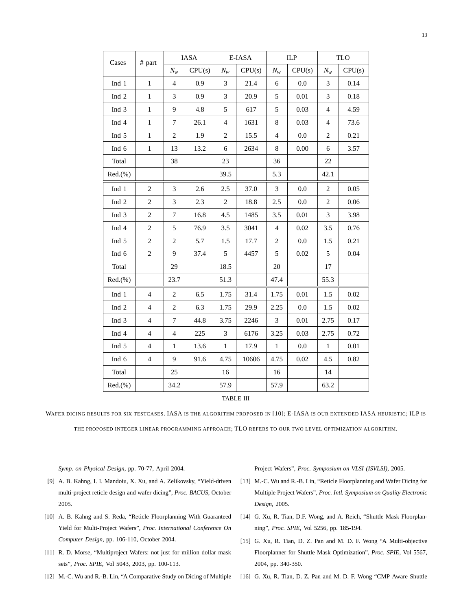| Cases   | # part         | <b>IASA</b>      |        |                | $E$ -IASA $\,$ |                | ILP      | <b>TLO</b>     |          |
|---------|----------------|------------------|--------|----------------|----------------|----------------|----------|----------------|----------|
|         |                | $N_w$            | CPU(s) | $N_w$          | CPU(s)         |                | CPU(s)   | $N_w$          | CPU(s)   |
| Ind 1   | $\mathbf{1}$   | $\overline{4}$   | 0.9    | 3              | 21.4           |                | 0.0      | 3              | 0.14     |
| Ind 2   | $\,1$          | 3                | 0.9    | 3              | 20.9           | 5              | 0.01     | 3              | 0.18     |
| Ind 3   | $\mathbf 1$    | $\overline{9}$   | 4.8    | 5              | 617            | 5              | 0.03     | $\overline{4}$ | 4.59     |
| Ind 4   | $\mathbf 1$    | $\tau$           | 26.1   | $\overline{4}$ | 1631           | 8              | 0.03     | $\overline{4}$ | 73.6     |
| Ind 5   | $\mathbf 1$    | $\overline{c}$   | 1.9    | $\mathbf{2}$   | 15.5           | $\overline{4}$ | 0.0      | $\overline{c}$ | 0.21     |
| Ind 6   | $\mathbf{1}$   | 13               | 13.2   | 6              | 2634           | 8              | 0.00     |                | 3.57     |
| Total   |                | 38               |        | 23             |                | 36             |          | 22             |          |
| Red.(%) |                |                  |        | 39.5           |                | 5.3            |          | 42.1           |          |
| Ind 1   | 2              | 3                | 2.6    | 2.5            | 37.0           | 3              | 0.0      | $\overline{2}$ | 0.05     |
| Ind $2$ | $\overline{2}$ | 3                | 2.3    | $\mathbf{2}$   | 18.8           | 2.5            | 0.0      | $\overline{2}$ | 0.06     |
| Ind 3   | $\mathbf{2}$   | $\tau$           | 16.8   | 4.5            | 1485           | 3.5            | $0.01\,$ | 3              | 3.98     |
| Ind 4   | $\overline{c}$ | 5                | 76.9   | 3.5            | 3041           | $\overline{4}$ | 0.02     |                | 0.76     |
| Ind 5   | $\overline{2}$ | $\overline{c}$   | 5.7    | 1.5            | 17.7           | $\overline{c}$ | $0.0\,$  |                | 0.21     |
| Ind 6   | $\overline{2}$ | 9                | 37.4   | 5              | 4457<br>5      |                | 0.02     | 5              | 0.04     |
| Total   |                | 29               |        | 18.5           |                | 20             |          | 17             |          |
| Red.(%) |                | 23.7             |        | 51.3           |                | 47.4           |          | 55.3           |          |
| Ind $1$ | $\overline{4}$ | $\boldsymbol{2}$ | 6.5    | 1.75           | 31.4           | 1.75           | $0.01\,$ | 1.5            | $0.02\,$ |
| Ind $2$ | $\overline{4}$ | $\sqrt{2}$       | 6.3    | 1.75           | 29.9           | 2.25           | $0.0\,$  | 1.5            | $0.02\,$ |
| Ind 3   | $\overline{4}$ | $\tau$           | 44.8   | 3.75           | 2246           | 3              | $0.01\,$ | 2.75           | 0.17     |
| Ind 4   | $\overline{4}$ | $\overline{4}$   | 225    | 3              | 6176           | 3.25           | 0.03     | 2.75           | 0.72     |
| Ind 5   | $\overline{4}$ | $\mathbf{1}$     | 13.6   | $\mathbf{1}$   | 17.9           | $\mathbf{1}$   | $0.0\,$  | $\mathbf{1}$   | 0.01     |
| Ind 6   | $\overline{4}$ | 9                | 91.6   | 4.75           | 10606          | 4.75           | 0.02     | 4.5            | 0.82     |
| Total   |                | 25               |        | 16             |                | 16             |          | 14             |          |
| Red.(%) |                | 34.2             |        | 57.9           |                | 57.9           |          | 63.2           |          |

# TABLE III

WAFER DICING RESULTS FOR SIX TESTCASES. IASA IS THE ALGORITHM PROPOSED IN [10]; E-IASA IS OUR EXTENDED IASA HEURISTIC; ILP IS THE PROPOSED INTEGER LINEAR PROGRAMMING APPROACH; TLO REFERS TO OUR TWO LEVEL OPTIMIZATION ALGORITHM.

*Symp. on Physical Design*, pp. 70-77, April 2004.

Project Wafers", *Proc. Symposium on VLSI (ISVLSI)*, 2005.

- [9] A. B. Kahng, I. I. Mandoiu, X. Xu, and A. Zelikovsky, "Yield-driven multi-project reticle design and wafer dicing", *Proc. BACUS*, October 2005.
- [10] A. B. Kahng and S. Reda, "Reticle Floorplanning With Guaranteed Yield for Multi-Project Wafers", *Proc. International Conference On Computer Design*, pp. 106-110, October 2004.
- [11] R. D. Morse, "Multiproject Wafers: not just for million dollar mask sets", *Proc. SPIE*, Vol 5043, 2003, pp. 100-113.
- [12] M.-C. Wu and R.-B. Lin, "A Comparative Study on Dicing of Multiple
- [13] M.-C. Wu and R.-B. Lin, "Reticle Floorplanning and Wafer Dicing for Multiple Project Wafers", *Proc. Intl. Symposium on Quality Electronic Design*, 2005.
- [14] G. Xu, R. Tian, D.F. Wong, and A. Reich, "Shuttle Mask Floorplanning", *Proc. SPIE*, Vol 5256, pp. 185-194.
- [15] G. Xu, R. Tian, D. Z. Pan and M. D. F. Wong "A Multi-objective Floorplanner for Shuttle Mask Optimization", *Proc. SPIE*, Vol 5567, 2004, pp. 340-350.
- [16] G. Xu, R. Tian, D. Z. Pan and M. D. F. Wong "CMP Aware Shuttle